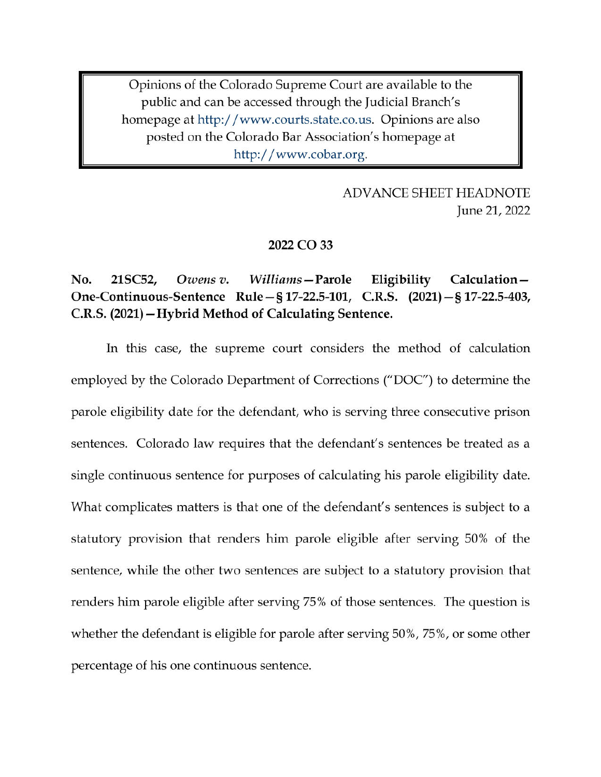Opinions of the Colorado Supreme Court are available to the public and can be accessed through the Judicial Branch's homepage at http://www.courts.state.co.us. Opinions are also posted on the Colorado Bar Association's homepage at http://www.cobar.org.

> **ADVANCE SHEET HEADNOTE** June 21, 2022

### 2022 CO 33

#### No. 21SC52, Owens v. Williams – Parole Eligibility Calculation-One-Continuous-Sentence Rule – § 17-22.5-101, C.R.S. (2021) – § 17-22.5-403, C.R.S. (2021) – Hybrid Method of Calculating Sentence.

In this case, the supreme court considers the method of calculation employed by the Colorado Department of Corrections ("DOC") to determine the parole eligibility date for the defendant, who is serving three consecutive prison sentences. Colorado law requires that the defendant's sentences be treated as a single continuous sentence for purposes of calculating his parole eligibility date. What complicates matters is that one of the defendant's sentences is subject to a statutory provision that renders him parole eligible after serving 50% of the sentence, while the other two sentences are subject to a statutory provision that renders him parole eligible after serving 75% of those sentences. The question is whether the defendant is eligible for parole after serving 50%, 75%, or some other percentage of his one continuous sentence.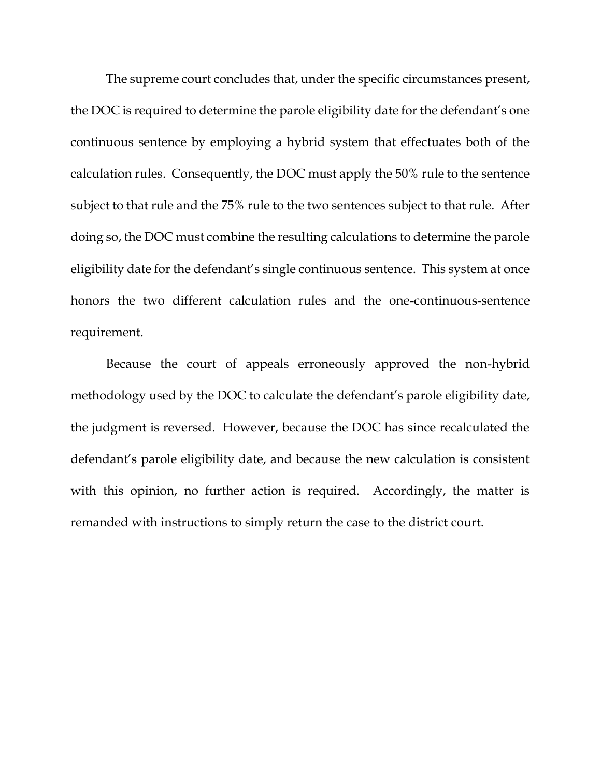The supreme court concludes that, under the specific circumstances present, the DOC is required to determine the parole eligibility date for the defendant's one continuous sentence by employing a hybrid system that effectuates both of the calculation rules. Consequently, the DOC must apply the 50% rule to the sentence subject to that rule and the 75% rule to the two sentences subject to that rule. After doing so, the DOC must combine the resulting calculations to determine the parole eligibility date for the defendant's single continuous sentence. This system at once honors the two different calculation rules and the one-continuous-sentence requirement.

Because the court of appeals erroneously approved the non-hybrid methodology used by the DOC to calculate the defendant's parole eligibility date, the judgment is reversed. However, because the DOC has since recalculated the defendant's parole eligibility date, and because the new calculation is consistent with this opinion, no further action is required. Accordingly, the matter is remanded with instructions to simply return the case to the district court.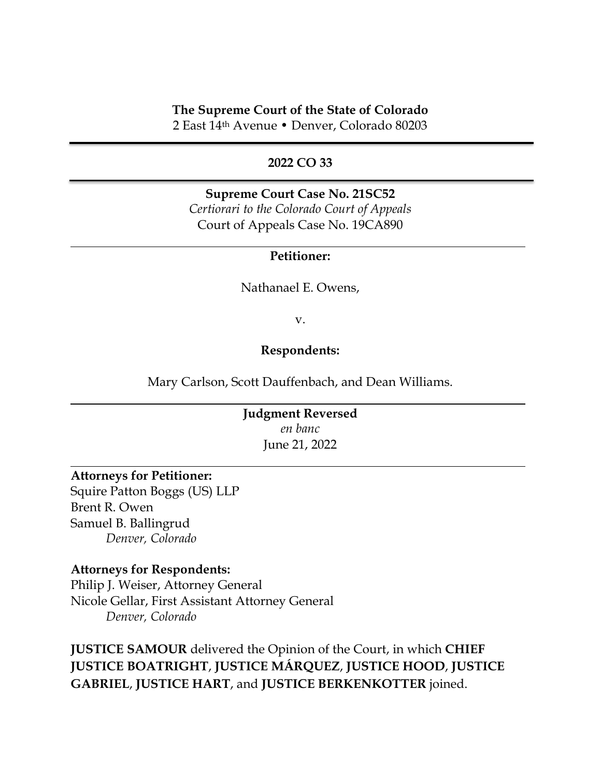## **The Supreme Court of the State of Colorado**

2 East 14th Avenue • Denver, Colorado 80203

## **2022 CO 33**

# **Supreme Court Case No. 21SC52** *Certiorari to the Colorado Court of Appeals*

Court of Appeals Case No. 19CA890

#### **Petitioner:**

Nathanael E. Owens,

v.

### **Respondents:**

Mary Carlson, Scott Dauffenbach, and Dean Williams.

# **Judgment Reversed** *en banc* June 21, 2022

## **Attorneys for Petitioner:**

Squire Patton Boggs (US) LLP Brent R. Owen Samuel B. Ballingrud *Denver, Colorado*

#### **Attorneys for Respondents:**

Philip J. Weiser, Attorney General Nicole Gellar, First Assistant Attorney General *Denver, Colorado*

**JUSTICE SAMOUR** delivered the Opinion of the Court, in which **CHIEF JUSTICE BOATRIGHT**, **JUSTICE MÁRQUEZ**, **JUSTICE HOOD**, **JUSTICE GABRIEL**, **JUSTICE HART**, and **JUSTICE BERKENKOTTER** joined.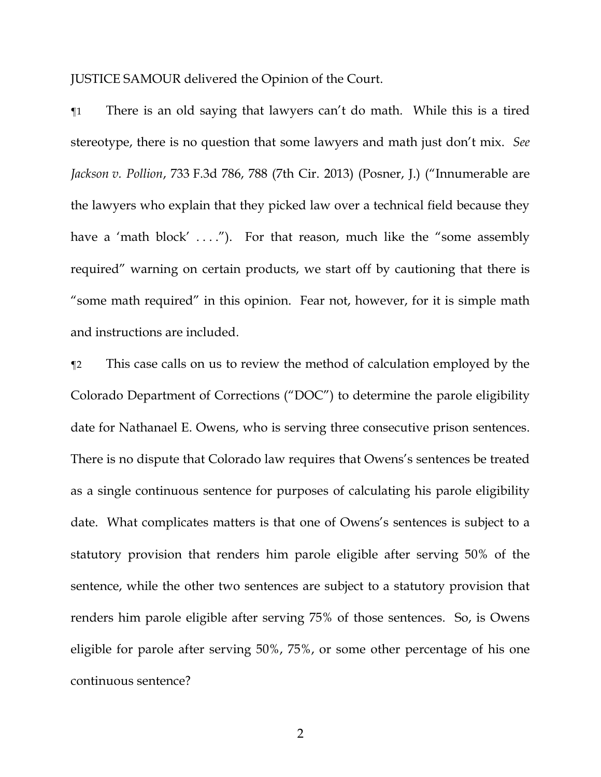JUSTICE SAMOUR delivered the Opinion of the Court.

¶1 There is an old saying that lawyers can't do math. While this is a tired stereotype, there is no question that some lawyers and math just don't mix. *See Jackson v. Pollion*, 733 F.3d 786, 788 (7th Cir. 2013) (Posner, J.) ("Innumerable are the lawyers who explain that they picked law over a technical field because they have a 'math block'  $\dots$ ''). For that reason, much like the "some assembly required" warning on certain products, we start off by cautioning that there is "some math required" in this opinion. Fear not, however, for it is simple math and instructions are included.

¶2 This case calls on us to review the method of calculation employed by the Colorado Department of Corrections ("DOC") to determine the parole eligibility date for Nathanael E. Owens, who is serving three consecutive prison sentences. There is no dispute that Colorado law requires that Owens's sentences be treated as a single continuous sentence for purposes of calculating his parole eligibility date. What complicates matters is that one of Owens's sentences is subject to a statutory provision that renders him parole eligible after serving 50% of the sentence, while the other two sentences are subject to a statutory provision that renders him parole eligible after serving 75% of those sentences. So, is Owens eligible for parole after serving 50%, 75%, or some other percentage of his one continuous sentence?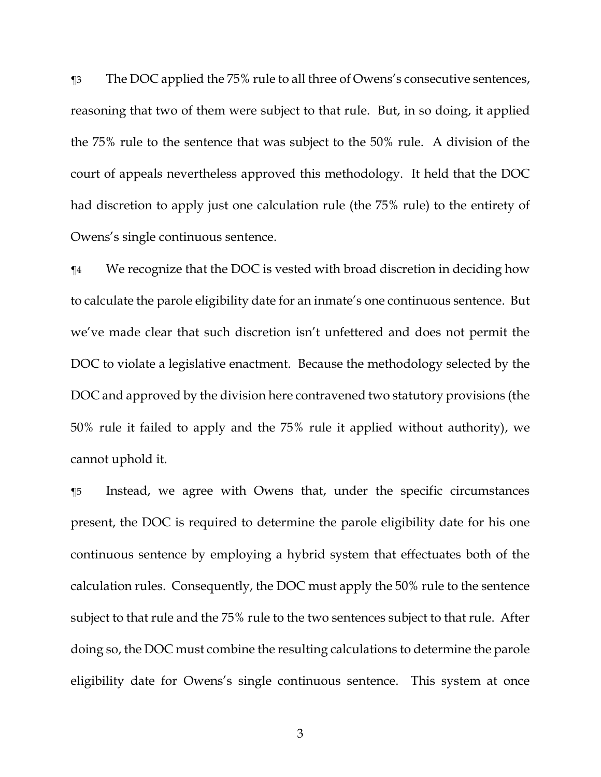¶3 The DOC applied the 75% rule to all three of Owens's consecutive sentences, reasoning that two of them were subject to that rule. But, in so doing, it applied the 75% rule to the sentence that was subject to the 50% rule. A division of the court of appeals nevertheless approved this methodology. It held that the DOC had discretion to apply just one calculation rule (the 75% rule) to the entirety of Owens's single continuous sentence.

¶4 We recognize that the DOC is vested with broad discretion in deciding how to calculate the parole eligibility date for an inmate's one continuous sentence. But we've made clear that such discretion isn't unfettered and does not permit the DOC to violate a legislative enactment. Because the methodology selected by the DOC and approved by the division here contravened two statutory provisions (the 50% rule it failed to apply and the 75% rule it applied without authority), we cannot uphold it.

¶5 Instead, we agree with Owens that, under the specific circumstances present, the DOC is required to determine the parole eligibility date for his one continuous sentence by employing a hybrid system that effectuates both of the calculation rules. Consequently, the DOC must apply the 50% rule to the sentence subject to that rule and the 75% rule to the two sentences subject to that rule. After doing so, the DOC must combine the resulting calculations to determine the parole eligibility date for Owens's single continuous sentence. This system at once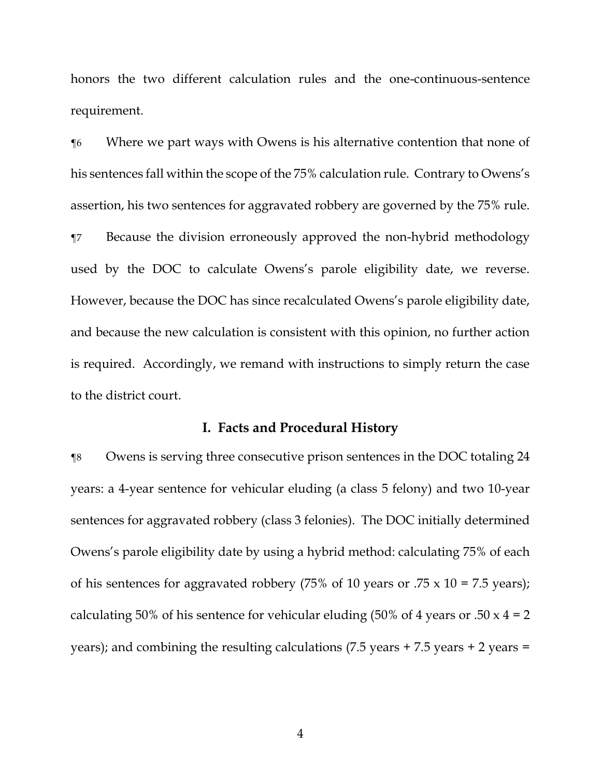honors the two different calculation rules and the one-continuous-sentence requirement.

¶6 Where we part ways with Owens is his alternative contention that none of his sentences fall within the scope of the 75% calculation rule. Contrary to Owens's assertion, his two sentences for aggravated robbery are governed by the 75% rule. ¶7 Because the division erroneously approved the non-hybrid methodology used by the DOC to calculate Owens's parole eligibility date, we reverse. However, because the DOC has since recalculated Owens's parole eligibility date, and because the new calculation is consistent with this opinion, no further action is required. Accordingly, we remand with instructions to simply return the case to the district court.

#### **I. Facts and Procedural History**

¶8 Owens is serving three consecutive prison sentences in the DOC totaling 24 years: a 4-year sentence for vehicular eluding (a class 5 felony) and two 10-year sentences for aggravated robbery (class 3 felonies). The DOC initially determined Owens's parole eligibility date by using a hybrid method: calculating 75% of each of his sentences for aggravated robbery (75% of 10 years or  $.75 \times 10 = 7.5$  years); calculating 50% of his sentence for vehicular eluding (50% of 4 years or .50  $x$  4 = 2 years); and combining the resulting calculations (7.5 years + 7.5 years + 2 years =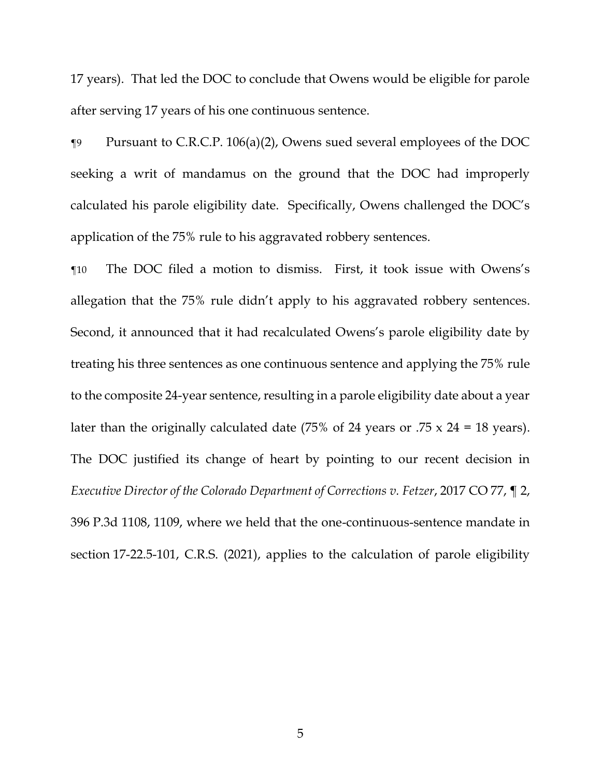17 years). That led the DOC to conclude that Owens would be eligible for parole after serving 17 years of his one continuous sentence.

¶9 Pursuant to C.R.C.P. 106(a)(2), Owens sued several employees of the DOC seeking a writ of mandamus on the ground that the DOC had improperly calculated his parole eligibility date. Specifically, Owens challenged the DOC's application of the 75% rule to his aggravated robbery sentences.

¶10 The DOC filed a motion to dismiss. First, it took issue with Owens's allegation that the 75% rule didn't apply to his aggravated robbery sentences. Second, it announced that it had recalculated Owens's parole eligibility date by treating his three sentences as one continuous sentence and applying the 75% rule to the composite 24-year sentence, resulting in a parole eligibility date about a year later than the originally calculated date  $(75\% \text{ of } 24 \text{ years or } .75 \times 24 = 18 \text{ years}).$ The DOC justified its change of heart by pointing to our recent decision in *Executive Director of the Colorado Department of Corrections v. Fetzer*, 2017 CO 77, ¶ 2, 396 P.3d 1108, 1109, where we held that the one-continuous-sentence mandate in section 17-22.5-101, C.R.S. (2021), applies to the calculation of parole eligibility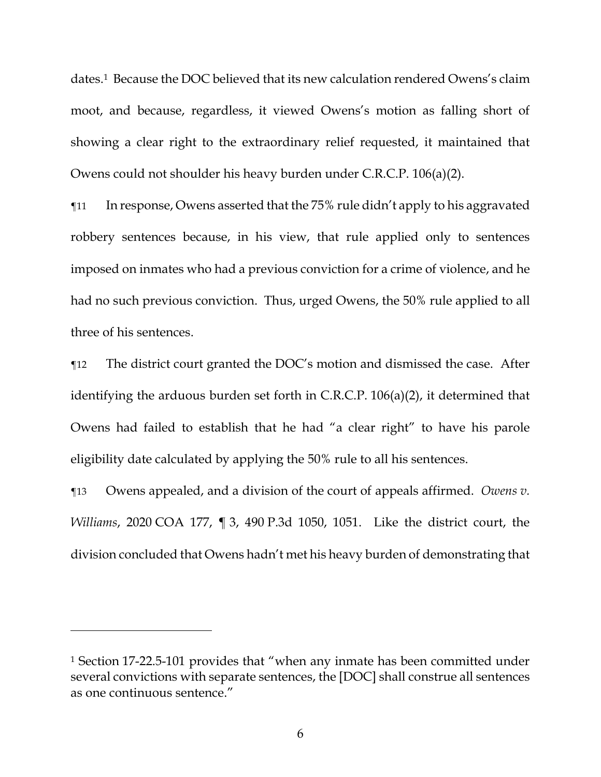dates.1 Because the DOC believed that its new calculation rendered Owens's claim moot, and because, regardless, it viewed Owens's motion as falling short of showing a clear right to the extraordinary relief requested, it maintained that Owens could not shoulder his heavy burden under C.R.C.P. 106(a)(2).

¶11 In response, Owens asserted that the 75% rule didn't apply to his aggravated robbery sentences because, in his view, that rule applied only to sentences imposed on inmates who had a previous conviction for a crime of violence, and he had no such previous conviction. Thus, urged Owens, the 50% rule applied to all three of his sentences.

¶12 The district court granted the DOC's motion and dismissed the case. After identifying the arduous burden set forth in C.R.C.P. 106(a)(2), it determined that Owens had failed to establish that he had "a clear right" to have his parole eligibility date calculated by applying the 50% rule to all his sentences.

¶13 Owens appealed, and a division of the court of appeals affirmed. *Owens v. Williams*, 2020 COA 177, ¶ 3, 490 P.3d 1050, 1051. Like the district court, the division concluded that Owens hadn't met his heavy burden of demonstrating that

<sup>1</sup> Section 17-22.5-101 provides that "when any inmate has been committed under several convictions with separate sentences, the [DOC] shall construe all sentences as one continuous sentence."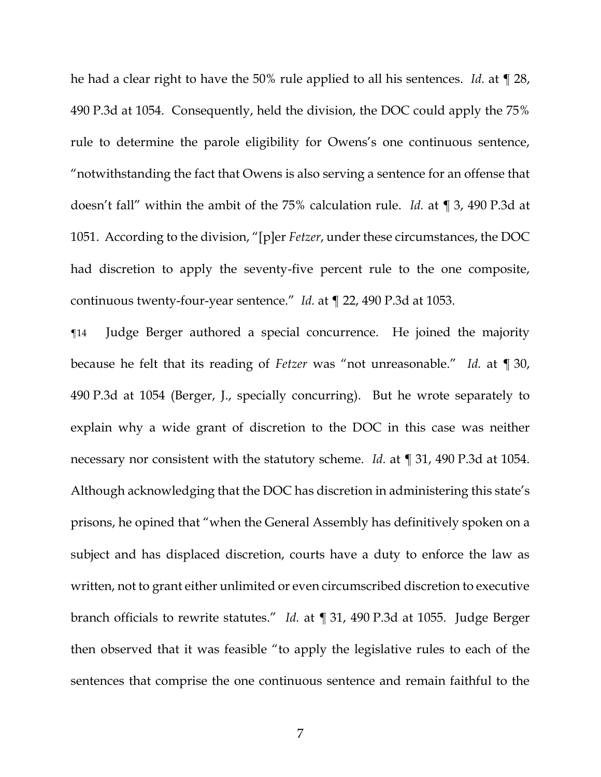he had a clear right to have the 50% rule applied to all his sentences. *Id.* at ¶ 28, 490 P.3d at 1054. Consequently, held the division, the DOC could apply the 75% rule to determine the parole eligibility for Owens's one continuous sentence, "notwithstanding the fact that Owens is also serving a sentence for an offense that doesn't fall" within the ambit of the 75% calculation rule. *Id.* at ¶ 3, 490 P.3d at 1051. According to the division, "[p]er *Fetzer*, under these circumstances, the DOC had discretion to apply the seventy-five percent rule to the one composite, continuous twenty-four-year sentence." *Id.* at ¶ 22, 490 P.3d at 1053.

¶14 Judge Berger authored a special concurrence. He joined the majority because he felt that its reading of *Fetzer* was "not unreasonable." *Id.* at ¶ 30, 490 P.3d at 1054 (Berger, J., specially concurring). But he wrote separately to explain why a wide grant of discretion to the DOC in this case was neither necessary nor consistent with the statutory scheme. *Id.* at ¶ 31, 490 P.3d at 1054. Although acknowledging that the DOC has discretion in administering this state's prisons, he opined that "when the General Assembly has definitively spoken on a subject and has displaced discretion, courts have a duty to enforce the law as written, not to grant either unlimited or even circumscribed discretion to executive branch officials to rewrite statutes." *Id.* at ¶ 31, 490 P.3d at 1055. Judge Berger then observed that it was feasible "to apply the legislative rules to each of the sentences that comprise the one continuous sentence and remain faithful to the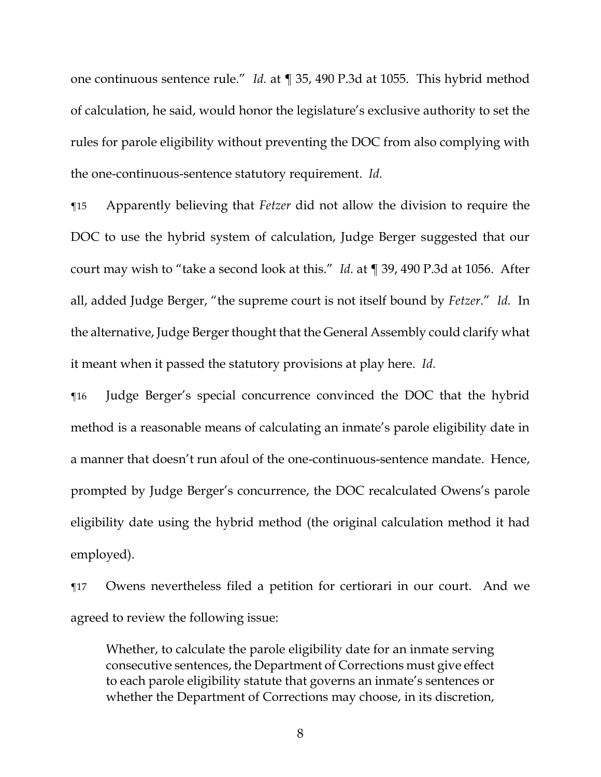one continuous sentence rule." *Id.* at ¶ 35, 490 P.3d at 1055. This hybrid method of calculation, he said, would honor the legislature's exclusive authority to set the rules for parole eligibility without preventing the DOC from also complying with the one-continuous-sentence statutory requirement. *Id.*

¶15 Apparently believing that *Fetzer* did not allow the division to require the DOC to use the hybrid system of calculation, Judge Berger suggested that our court may wish to "take a second look at this." *Id.* at ¶ 39, 490 P.3d at 1056. After all, added Judge Berger, "the supreme court is not itself bound by *Fetzer*." *Id.* In the alternative, Judge Berger thought that the General Assembly could clarify what it meant when it passed the statutory provisions at play here. *Id.*

¶16 Judge Berger's special concurrence convinced the DOC that the hybrid method is a reasonable means of calculating an inmate's parole eligibility date in a manner that doesn't run afoul of the one-continuous-sentence mandate. Hence, prompted by Judge Berger's concurrence, the DOC recalculated Owens's parole eligibility date using the hybrid method (the original calculation method it had employed).

¶17 Owens nevertheless filed a petition for certiorari in our court. And we agreed to review the following issue:

Whether, to calculate the parole eligibility date for an inmate serving consecutive sentences, the Department of Corrections must give effect to each parole eligibility statute that governs an inmate's sentences or whether the Department of Corrections may choose, in its discretion,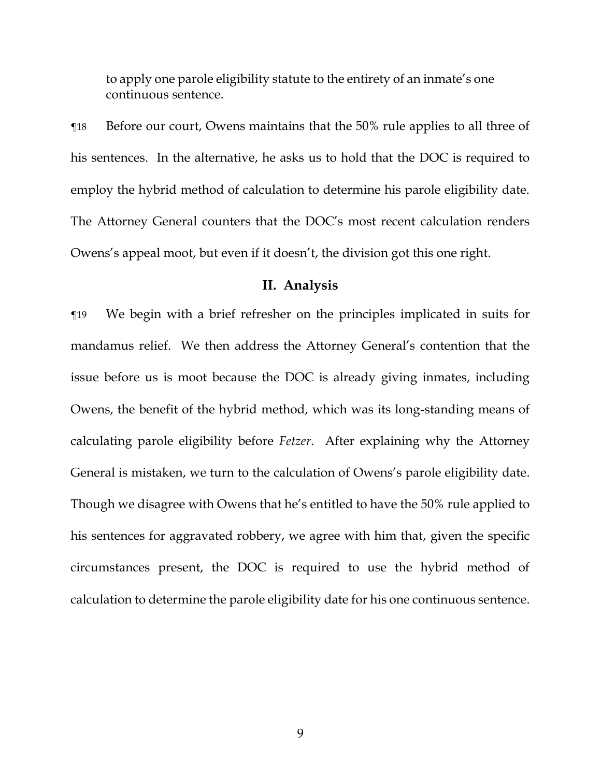to apply one parole eligibility statute to the entirety of an inmate's one continuous sentence.

¶18 Before our court, Owens maintains that the 50% rule applies to all three of his sentences. In the alternative, he asks us to hold that the DOC is required to employ the hybrid method of calculation to determine his parole eligibility date. The Attorney General counters that the DOC's most recent calculation renders Owens's appeal moot, but even if it doesn't, the division got this one right.

#### **II. Analysis**

¶19 We begin with a brief refresher on the principles implicated in suits for mandamus relief. We then address the Attorney General's contention that the issue before us is moot because the DOC is already giving inmates, including Owens, the benefit of the hybrid method, which was its long-standing means of calculating parole eligibility before *Fetzer*. After explaining why the Attorney General is mistaken, we turn to the calculation of Owens's parole eligibility date. Though we disagree with Owens that he's entitled to have the 50% rule applied to his sentences for aggravated robbery, we agree with him that, given the specific circumstances present, the DOC is required to use the hybrid method of calculation to determine the parole eligibility date for his one continuous sentence.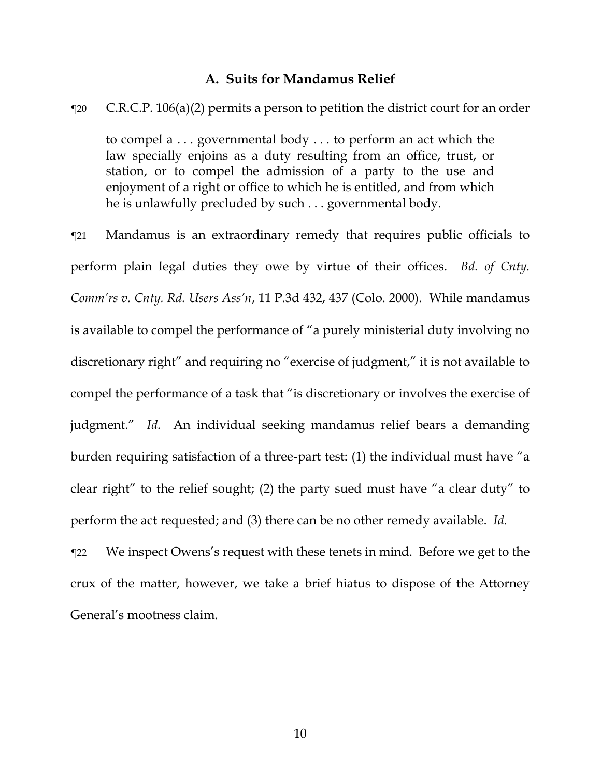## **A. Suits for Mandamus Relief**

¶20 C.R.C.P. 106(a)(2) permits a person to petition the district court for an order

to compel a . . . governmental body . . . to perform an act which the law specially enjoins as a duty resulting from an office, trust, or station, or to compel the admission of a party to the use and enjoyment of a right or office to which he is entitled, and from which he is unlawfully precluded by such . . . governmental body.

¶21 Mandamus is an extraordinary remedy that requires public officials to perform plain legal duties they owe by virtue of their offices. *Bd. of Cnty. Comm'rs v. Cnty. Rd. Users Ass'n*, 11 P.3d 432, 437 (Colo. 2000). While mandamus is available to compel the performance of "a purely ministerial duty involving no discretionary right" and requiring no "exercise of judgment," it is not available to compel the performance of a task that "is discretionary or involves the exercise of judgment." *Id.* An individual seeking mandamus relief bears a demanding burden requiring satisfaction of a three-part test: (1) the individual must have "a clear right" to the relief sought; (2) the party sued must have "a clear duty" to perform the act requested; and (3) there can be no other remedy available. *Id.*

¶22 We inspect Owens's request with these tenets in mind. Before we get to the crux of the matter, however, we take a brief hiatus to dispose of the Attorney General's mootness claim.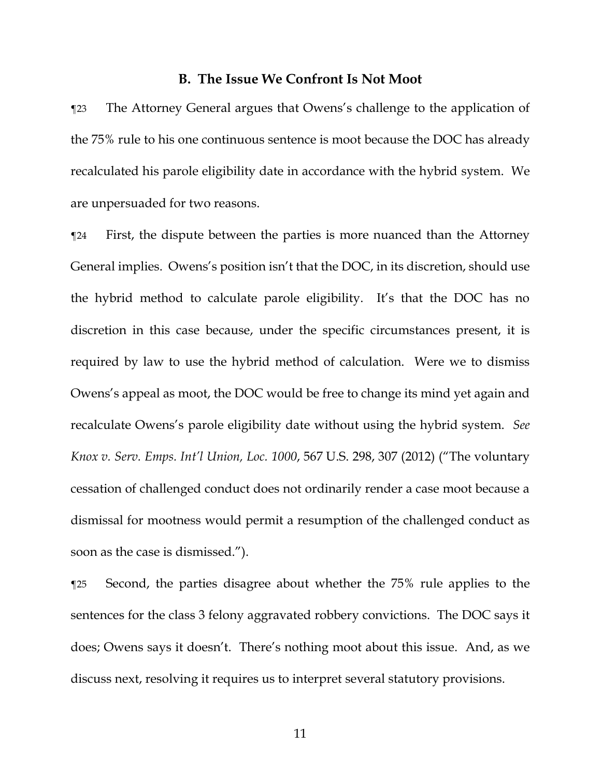#### **B. The Issue We Confront Is Not Moot**

¶23 The Attorney General argues that Owens's challenge to the application of the 75% rule to his one continuous sentence is moot because the DOC has already recalculated his parole eligibility date in accordance with the hybrid system. We are unpersuaded for two reasons.

¶24 First, the dispute between the parties is more nuanced than the Attorney General implies. Owens's position isn't that the DOC, in its discretion, should use the hybrid method to calculate parole eligibility. It's that the DOC has no discretion in this case because, under the specific circumstances present, it is required by law to use the hybrid method of calculation. Were we to dismiss Owens's appeal as moot, the DOC would be free to change its mind yet again and recalculate Owens's parole eligibility date without using the hybrid system. *See Knox v. Serv. Emps. Int'l Union, Loc. 1000*, 567 U.S. 298, 307 (2012) ("The voluntary cessation of challenged conduct does not ordinarily render a case moot because a dismissal for mootness would permit a resumption of the challenged conduct as soon as the case is dismissed.").

¶25 Second, the parties disagree about whether the 75% rule applies to the sentences for the class 3 felony aggravated robbery convictions. The DOC says it does; Owens says it doesn't. There's nothing moot about this issue. And, as we discuss next, resolving it requires us to interpret several statutory provisions.

11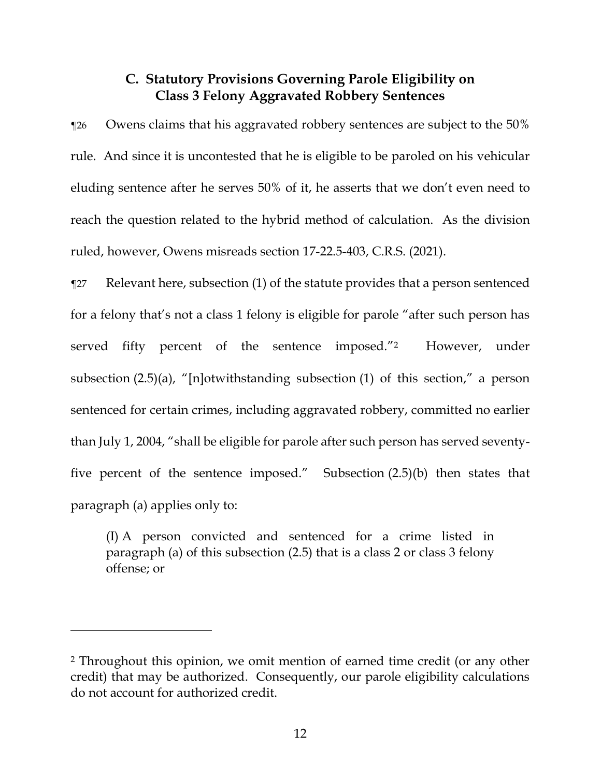# **C. Statutory Provisions Governing Parole Eligibility on Class 3 Felony Aggravated Robbery Sentences**

¶26 Owens claims that his aggravated robbery sentences are subject to the 50% rule. And since it is uncontested that he is eligible to be paroled on his vehicular eluding sentence after he serves 50% of it, he asserts that we don't even need to reach the question related to the hybrid method of calculation. As the division ruled, however, Owens misreads section 17-22.5-403, C.R.S. (2021).

¶27 Relevant here, subsection (1) of the statute provides that a person sentenced for a felony that's not a class 1 felony is eligible for parole "after such person has served fifty percent of the sentence imposed."2 However, under subsection (2.5)(a), "[n]otwithstanding subsection (1) of this section," a person sentenced for certain crimes, including aggravated robbery, committed no earlier than July 1, 2004, "shall be eligible for parole after such person has served seventyfive percent of the sentence imposed." Subsection (2.5)(b) then states that paragraph (a) applies only to:

(I) A person convicted and sentenced for a crime listed in paragraph (a) of this subsection (2.5) that is a class 2 or class 3 felony offense; or

<sup>2</sup> Throughout this opinion, we omit mention of earned time credit (or any other credit) that may be authorized. Consequently, our parole eligibility calculations do not account for authorized credit.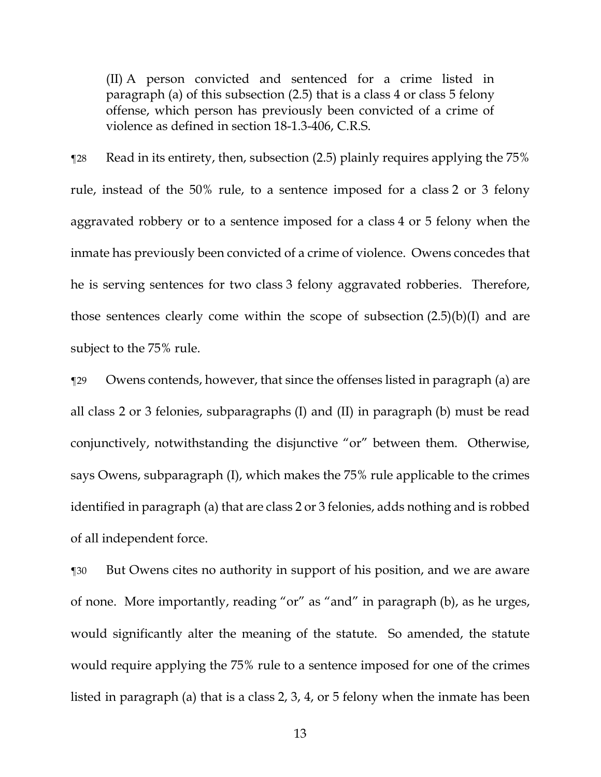(II) A person convicted and sentenced for a crime listed in paragraph (a) of this subsection (2.5) that is a class 4 or class 5 felony offense, which person has previously been convicted of a crime of violence as defined in section 18-1.3-406, C.R.S.

¶28 Read in its entirety, then, subsection (2.5) plainly requires applying the 75% rule, instead of the 50% rule, to a sentence imposed for a class 2 or 3 felony aggravated robbery or to a sentence imposed for a class 4 or 5 felony when the inmate has previously been convicted of a crime of violence. Owens concedes that he is serving sentences for two class 3 felony aggravated robberies. Therefore, those sentences clearly come within the scope of subsection  $(2.5)(b)(I)$  and are subject to the 75% rule.

¶29 Owens contends, however, that since the offenses listed in paragraph (a) are all class 2 or 3 felonies, subparagraphs (I) and (II) in paragraph (b) must be read conjunctively, notwithstanding the disjunctive "or" between them. Otherwise, says Owens, subparagraph (I), which makes the 75% rule applicable to the crimes identified in paragraph (a) that are class 2 or 3 felonies, adds nothing and is robbed of all independent force.

¶30 But Owens cites no authority in support of his position, and we are aware of none. More importantly, reading "or" as "and" in paragraph (b), as he urges, would significantly alter the meaning of the statute. So amended, the statute would require applying the 75% rule to a sentence imposed for one of the crimes listed in paragraph (a) that is a class 2, 3, 4, or 5 felony when the inmate has been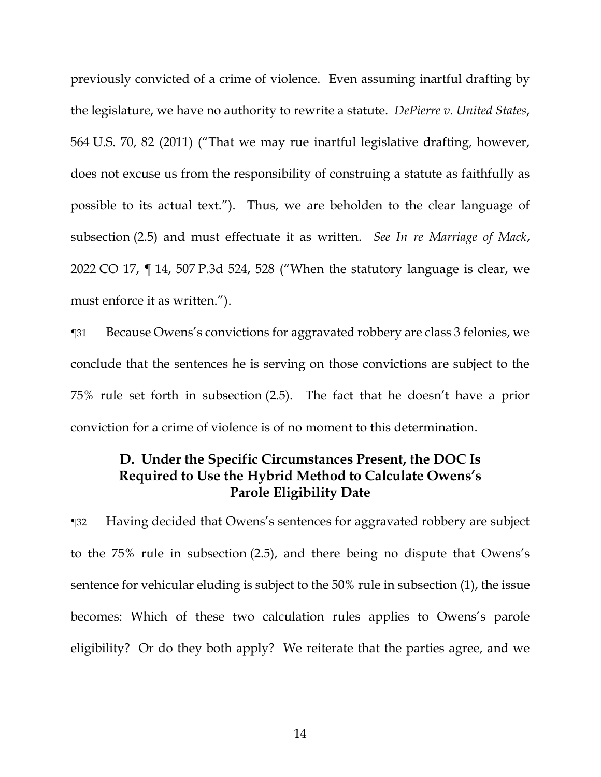previously convicted of a crime of violence. Even assuming inartful drafting by the legislature, we have no authority to rewrite a statute. *DePierre v. United States*, 564 U.S. 70, 82 (2011) ("That we may rue inartful legislative drafting, however, does not excuse us from the responsibility of construing a statute as faithfully as possible to its actual text."). Thus, we are beholden to the clear language of subsection (2.5) and must effectuate it as written. *See In re Marriage of Mack*, 2022 CO 17, ¶ 14, 507 P.3d 524, 528 ("When the statutory language is clear, we must enforce it as written.").

¶31 Because Owens's convictions for aggravated robbery are class 3 felonies, we conclude that the sentences he is serving on those convictions are subject to the 75% rule set forth in subsection (2.5). The fact that he doesn't have a prior conviction for a crime of violence is of no moment to this determination.

# **D. Under the Specific Circumstances Present, the DOC Is Required to Use the Hybrid Method to Calculate Owens's Parole Eligibility Date**

¶32 Having decided that Owens's sentences for aggravated robbery are subject to the 75% rule in subsection (2.5), and there being no dispute that Owens's sentence for vehicular eluding is subject to the 50% rule in subsection (1), the issue becomes: Which of these two calculation rules applies to Owens's parole eligibility? Or do they both apply? We reiterate that the parties agree, and we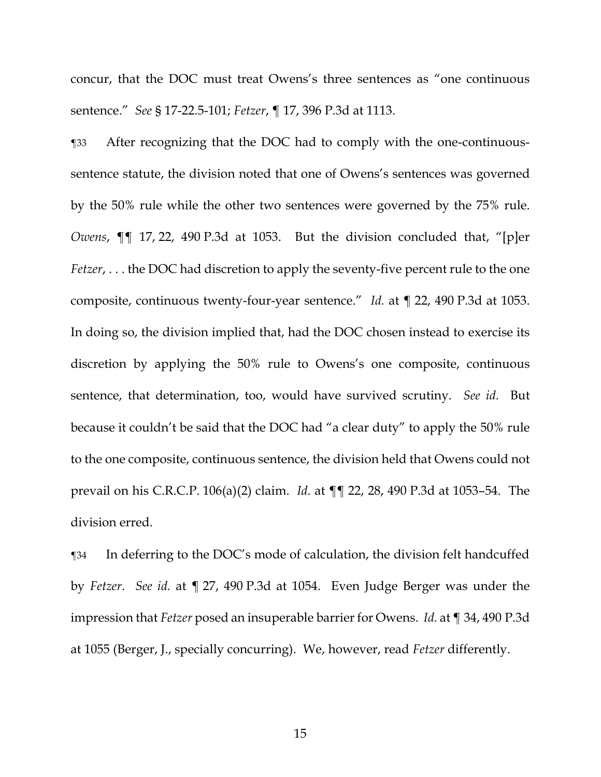concur, that the DOC must treat Owens's three sentences as "one continuous sentence." *See* § 17-22.5-101; *Fetzer*, ¶ 17, 396 P.3d at 1113.

¶33 After recognizing that the DOC had to comply with the one-continuoussentence statute, the division noted that one of Owens's sentences was governed by the 50% rule while the other two sentences were governed by the 75% rule. *Owens*, ¶¶ 17, 22, 490 P.3d at 1053. But the division concluded that, "[p]er *Fetzer,* . . . the DOC had discretion to apply the seventy-five percent rule to the one composite, continuous twenty-four-year sentence." *Id.* at ¶ 22, 490 P.3d at 1053. In doing so, the division implied that, had the DOC chosen instead to exercise its discretion by applying the 50% rule to Owens's one composite, continuous sentence, that determination, too, would have survived scrutiny. *See id.* But because it couldn't be said that the DOC had "a clear duty" to apply the 50% rule to the one composite, continuous sentence, the division held that Owens could not prevail on his C.R.C.P. 106(a)(2) claim. *Id.* at ¶¶ 22, 28, 490 P.3d at 1053–54. The division erred.

¶34 In deferring to the DOC's mode of calculation, the division felt handcuffed by *Fetzer*. *See id.* at ¶ 27, 490 P.3d at 1054. Even Judge Berger was under the impression that *Fetzer* posed an insuperable barrier for Owens. *Id.* at ¶ 34, 490 P.3d at 1055 (Berger, J., specially concurring). We, however, read *Fetzer* differently.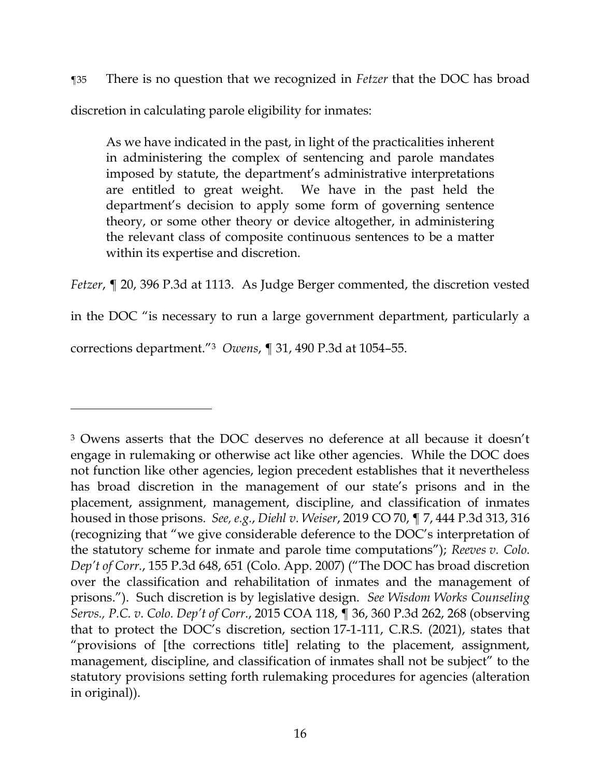¶35 There is no question that we recognized in *Fetzer* that the DOC has broad discretion in calculating parole eligibility for inmates:

As we have indicated in the past, in light of the practicalities inherent in administering the complex of sentencing and parole mandates imposed by statute, the department's administrative interpretations are entitled to great weight. We have in the past held the department's decision to apply some form of governing sentence theory, or some other theory or device altogether, in administering the relevant class of composite continuous sentences to be a matter within its expertise and discretion.

*Fetzer*, ¶ 20, 396 P.3d at 1113. As Judge Berger commented, the discretion vested in the DOC "is necessary to run a large government department, particularly a corrections department."<sup>3</sup> *Owens*, ¶ 31, 490 P.3d at 1054–55.

<sup>3</sup> Owens asserts that the DOC deserves no deference at all because it doesn't engage in rulemaking or otherwise act like other agencies. While the DOC does not function like other agencies, legion precedent establishes that it nevertheless has broad discretion in the management of our state's prisons and in the placement, assignment, management, discipline, and classification of inmates housed in those prisons. *See, e.g.*, *Diehl v. Weiser*, 2019 CO 70, ¶ 7, 444 P.3d 313, 316 (recognizing that "we give considerable deference to the DOC's interpretation of the statutory scheme for inmate and parole time computations"); *Reeves v. Colo. Dep't of Corr.*, 155 P.3d 648, 651 (Colo. App. 2007) ("The DOC has broad discretion over the classification and rehabilitation of inmates and the management of prisons."). Such discretion is by legislative design. *See Wisdom Works Counseling Servs., P.C. v. Colo. Dep't of Corr.*, 2015 COA 118, ¶ 36, 360 P.3d 262, 268 (observing that to protect the DOC's discretion, section 17-1-111, C.R.S. (2021), states that "provisions of [the corrections title] relating to the placement, assignment, management, discipline, and classification of inmates shall not be subject" to the statutory provisions setting forth rulemaking procedures for agencies (alteration in original)).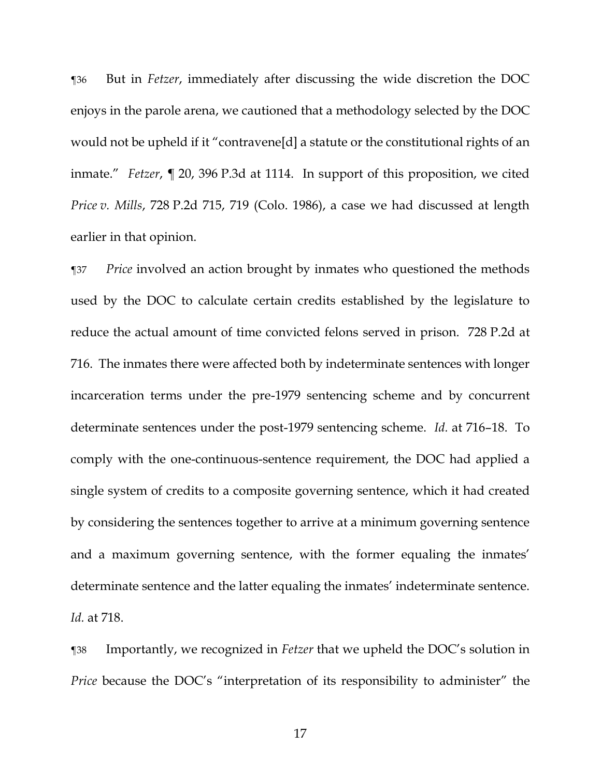¶36 But in *Fetzer*, immediately after discussing the wide discretion the DOC enjoys in the parole arena, we cautioned that a methodology selected by the DOC would not be upheld if it "contravene[d] a statute or the constitutional rights of an inmate." *Fetzer*, ¶ 20, 396 P.3d at 1114. In support of this proposition, we cited *Price v. Mills*, 728 P.2d 715, 719 (Colo. 1986), a case we had discussed at length earlier in that opinion.

¶37 *Price* involved an action brought by inmates who questioned the methods used by the DOC to calculate certain credits established by the legislature to reduce the actual amount of time convicted felons served in prison. 728 P.2d at 716. The inmates there were affected both by indeterminate sentences with longer incarceration terms under the pre-1979 sentencing scheme and by concurrent determinate sentences under the post-1979 sentencing scheme. *Id.* at 716–18. To comply with the one-continuous-sentence requirement, the DOC had applied a single system of credits to a composite governing sentence, which it had created by considering the sentences together to arrive at a minimum governing sentence and a maximum governing sentence, with the former equaling the inmates' determinate sentence and the latter equaling the inmates' indeterminate sentence. *Id.* at 718.

¶38 Importantly, we recognized in *Fetzer* that we upheld the DOC's solution in *Price* because the DOC's "interpretation of its responsibility to administer" the

17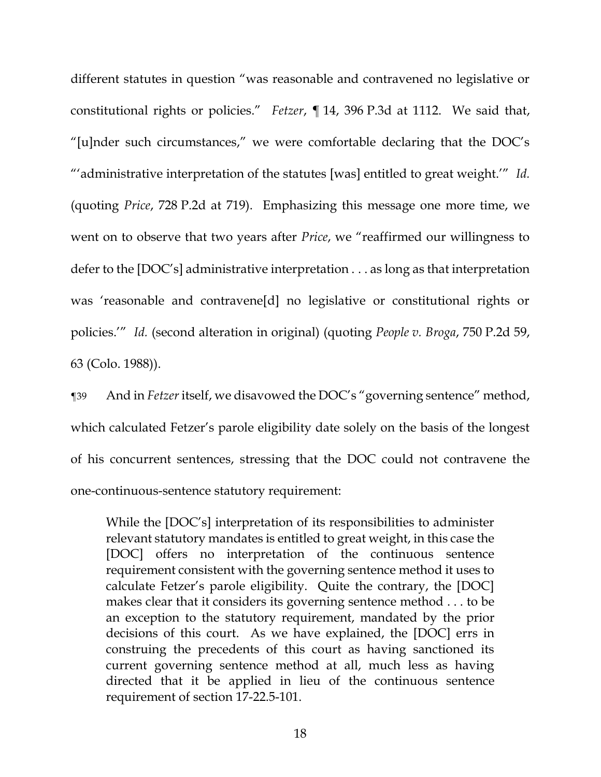different statutes in question "was reasonable and contravened no legislative or constitutional rights or policies." *Fetzer*, ¶ 14, 396 P.3d at 1112. We said that, "[u]nder such circumstances," we were comfortable declaring that the DOC's "'administrative interpretation of the statutes [was] entitled to great weight.'" *Id.* (quoting *Price*, 728 P.2d at 719). Emphasizing this message one more time, we went on to observe that two years after *Price*, we "reaffirmed our willingness to defer to the [DOC's] administrative interpretation . . . as long as that interpretation was 'reasonable and contravene[d] no legislative or constitutional rights or policies.'" *Id.* (second alteration in original) (quoting *People v. Broga*, 750 P.2d 59, 63 (Colo. 1988)).

¶39 And in *Fetzer* itself, we disavowed the DOC's "governing sentence" method, which calculated Fetzer's parole eligibility date solely on the basis of the longest of his concurrent sentences, stressing that the DOC could not contravene the one-continuous-sentence statutory requirement:

While the [DOC's] interpretation of its responsibilities to administer relevant statutory mandates is entitled to great weight, in this case the [DOC] offers no interpretation of the continuous sentence requirement consistent with the governing sentence method it uses to calculate Fetzer's parole eligibility. Quite the contrary, the [DOC] makes clear that it considers its governing sentence method . . . to be an exception to the statutory requirement, mandated by the prior decisions of this court. As we have explained, the [DOC] errs in construing the precedents of this court as having sanctioned its current governing sentence method at all, much less as having directed that it be applied in lieu of the continuous sentence requirement of section 17-22.5-101.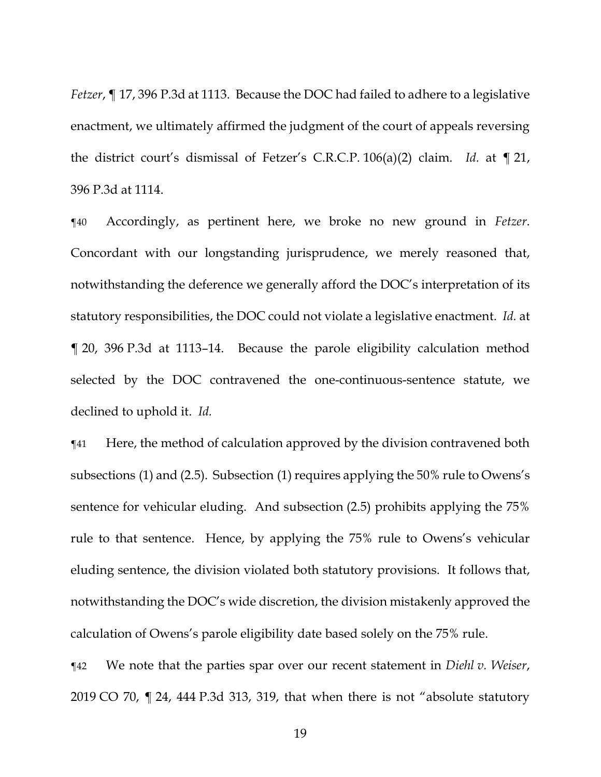*Fetzer*, ¶ 17, 396 P.3d at 1113. Because the DOC had failed to adhere to a legislative enactment, we ultimately affirmed the judgment of the court of appeals reversing the district court's dismissal of Fetzer's C.R.C.P. 106(a)(2) claim. *Id.* at ¶ 21, 396 P.3d at 1114.

¶40 Accordingly, as pertinent here, we broke no new ground in *Fetzer*. Concordant with our longstanding jurisprudence, we merely reasoned that, notwithstanding the deference we generally afford the DOC's interpretation of its statutory responsibilities, the DOC could not violate a legislative enactment. *Id.* at ¶ 20, 396 P.3d at 1113–14. Because the parole eligibility calculation method selected by the DOC contravened the one-continuous-sentence statute, we declined to uphold it. *Id.*

¶41 Here, the method of calculation approved by the division contravened both subsections (1) and (2.5). Subsection (1) requires applying the  $50\%$  rule to Owens's sentence for vehicular eluding. And subsection (2.5) prohibits applying the 75% rule to that sentence. Hence, by applying the 75% rule to Owens's vehicular eluding sentence, the division violated both statutory provisions. It follows that, notwithstanding the DOC's wide discretion, the division mistakenly approved the calculation of Owens's parole eligibility date based solely on the 75% rule.

¶42 We note that the parties spar over our recent statement in *Diehl v. Weiser*, 2019 CO 70, ¶ 24, 444 P.3d 313, 319, that when there is not "absolute statutory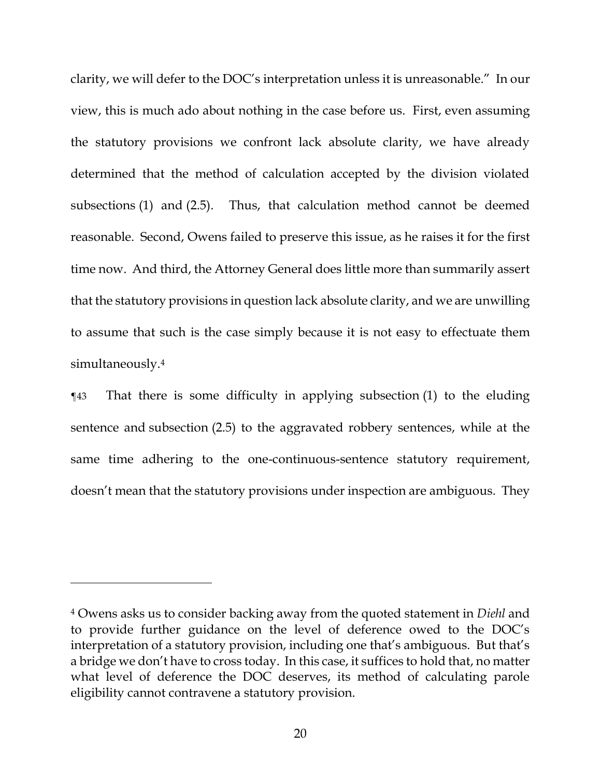clarity, we will defer to the DOC's interpretation unless it is unreasonable." In our view, this is much ado about nothing in the case before us. First, even assuming the statutory provisions we confront lack absolute clarity, we have already determined that the method of calculation accepted by the division violated subsections (1) and (2.5). Thus, that calculation method cannot be deemed reasonable. Second, Owens failed to preserve this issue, as he raises it for the first time now. And third, the Attorney General does little more than summarily assert that the statutory provisions in question lack absolute clarity, and we are unwilling to assume that such is the case simply because it is not easy to effectuate them simultaneously. 4

¶43 That there is some difficulty in applying subsection (1) to the eluding sentence and subsection (2.5) to the aggravated robbery sentences, while at the same time adhering to the one-continuous-sentence statutory requirement, doesn't mean that the statutory provisions under inspection are ambiguous. They

<sup>4</sup> Owens asks us to consider backing away from the quoted statement in *Diehl* and to provide further guidance on the level of deference owed to the DOC's interpretation of a statutory provision, including one that's ambiguous. But that's a bridge we don't have to cross today. In this case, it suffices to hold that, no matter what level of deference the DOC deserves, its method of calculating parole eligibility cannot contravene a statutory provision.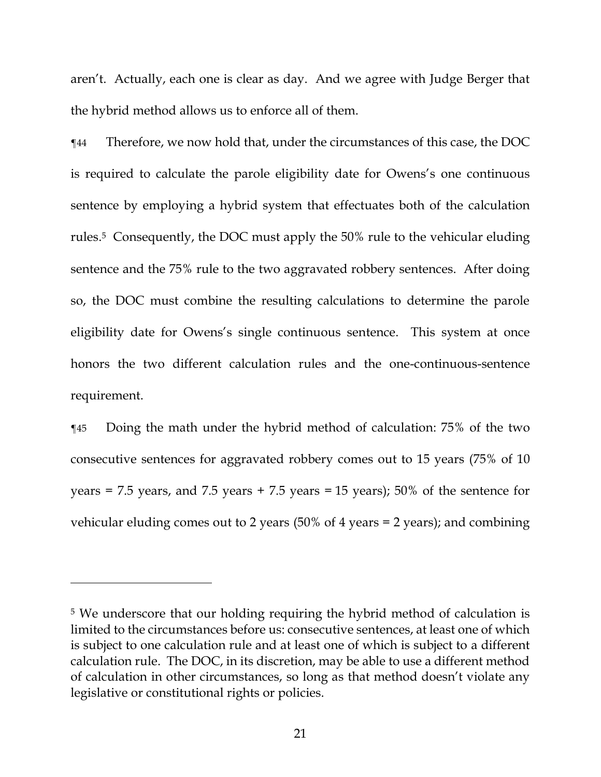aren't. Actually, each one is clear as day. And we agree with Judge Berger that the hybrid method allows us to enforce all of them.

¶44 Therefore, we now hold that, under the circumstances of this case, the DOC is required to calculate the parole eligibility date for Owens's one continuous sentence by employing a hybrid system that effectuates both of the calculation rules. <sup>5</sup> Consequently, the DOC must apply the 50% rule to the vehicular eluding sentence and the 75% rule to the two aggravated robbery sentences. After doing so, the DOC must combine the resulting calculations to determine the parole eligibility date for Owens's single continuous sentence. This system at once honors the two different calculation rules and the one-continuous-sentence requirement.

¶45 Doing the math under the hybrid method of calculation: 75% of the two consecutive sentences for aggravated robbery comes out to 15 years (75% of 10 years = 7.5 years, and 7.5 years + 7.5 years = 15 years); 50% of the sentence for vehicular eluding comes out to 2 years  $(50\% \text{ of } 4 \text{ years} = 2 \text{ years})$ ; and combining

<sup>5</sup> We underscore that our holding requiring the hybrid method of calculation is limited to the circumstances before us: consecutive sentences, at least one of which is subject to one calculation rule and at least one of which is subject to a different calculation rule. The DOC, in its discretion, may be able to use a different method of calculation in other circumstances, so long as that method doesn't violate any legislative or constitutional rights or policies.